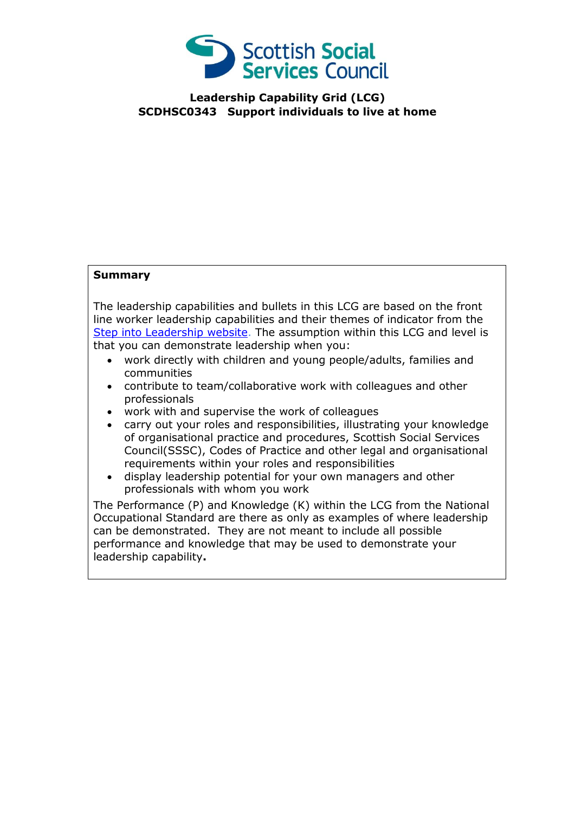

**Leadership Capability Grid (LCG) SCDHSC0343 Support individuals to live at home**

## **Summary**

The leadership capabilities and bullets in this LCG are based on the front line worker leadership capabilities and their themes of indicator from the [Step into Leadership website.](http://www.stepintoleadership.info/) The assumption within this LCG and level is that you can demonstrate leadership when you:

- work directly with children and young people/adults, families and communities
- contribute to team/collaborative work with colleagues and other professionals
- work with and supervise the work of colleagues
- carry out your roles and responsibilities, illustrating your knowledge of organisational practice and procedures, Scottish Social Services Council(SSSC), Codes of Practice and other legal and organisational requirements within your roles and responsibilities
- display leadership potential for your own managers and other professionals with whom you work

The Performance (P) and Knowledge (K) within the LCG from the National Occupational Standard are there as only as examples of where leadership can be demonstrated. They are not meant to include all possible performance and knowledge that may be used to demonstrate your leadership capability**.**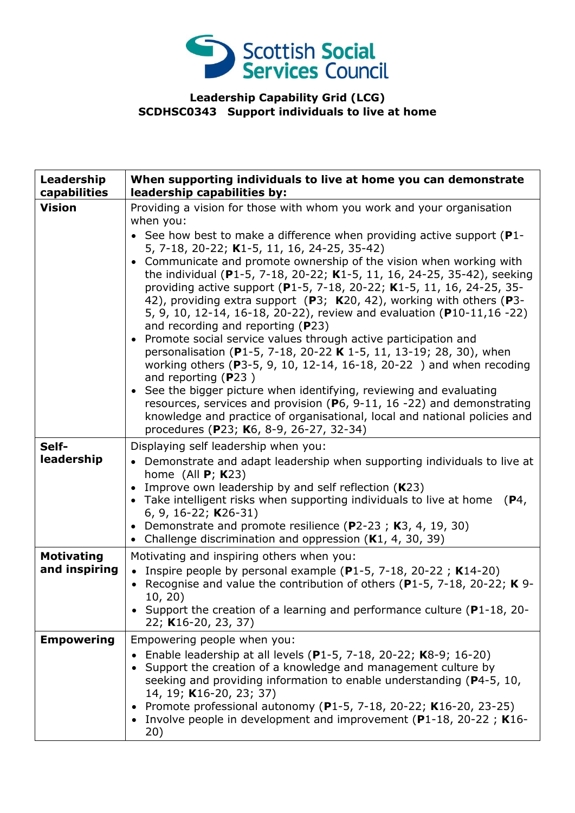

## **Leadership Capability Grid (LCG) SCDHSC0343 Support individuals to live at home**

| Leadership<br>capabilities         | When supporting individuals to live at home you can demonstrate<br>leadership capabilities by:                                                                                                                                                                                                                                                                                                                                                                                                                                                                                                                                                                                                                                                                                                                                                                                                                                                                                                                                                                                                      |
|------------------------------------|-----------------------------------------------------------------------------------------------------------------------------------------------------------------------------------------------------------------------------------------------------------------------------------------------------------------------------------------------------------------------------------------------------------------------------------------------------------------------------------------------------------------------------------------------------------------------------------------------------------------------------------------------------------------------------------------------------------------------------------------------------------------------------------------------------------------------------------------------------------------------------------------------------------------------------------------------------------------------------------------------------------------------------------------------------------------------------------------------------|
| <b>Vision</b>                      | Providing a vision for those with whom you work and your organisation<br>when you:                                                                                                                                                                                                                                                                                                                                                                                                                                                                                                                                                                                                                                                                                                                                                                                                                                                                                                                                                                                                                  |
|                                    | • See how best to make a difference when providing active support (P1-<br>5, 7-18, 20-22; K1-5, 11, 16, 24-25, 35-42)<br>Communicate and promote ownership of the vision when working with<br>$\bullet$<br>the individual (P1-5, 7-18, 20-22; K1-5, 11, 16, 24-25, 35-42), seeking<br>providing active support (P1-5, 7-18, 20-22; K1-5, 11, 16, 24-25, 35-<br>42), providing extra support (P3; K20, 42), working with others (P3-<br>5, 9, 10, 12-14, 16-18, 20-22), review and evaluation (P10-11, 16 - 22)<br>and recording and reporting $(P23)$<br>Promote social service values through active participation and<br>$\bullet$<br>personalisation (P1-5, 7-18, 20-22 K 1-5, 11, 13-19; 28, 30), when<br>working others (P3-5, 9, 10, 12-14, 16-18, 20-22) and when recoding<br>and reporting $(P23)$<br>See the bigger picture when identifying, reviewing and evaluating<br>$\bullet$<br>resources, services and provision ( $P_6$ , 9-11, 16 -22) and demonstrating<br>knowledge and practice of organisational, local and national policies and<br>procedures (P23; K6, 8-9, 26-27, 32-34) |
| Self-<br>leadership                | Displaying self leadership when you:<br>• Demonstrate and adapt leadership when supporting individuals to live at<br>home (All $P$ ; K23)<br>Improve own leadership by and self reflection $(K23)$<br>Take intelligent risks when supporting individuals to live at home<br>(P4,<br>6, 9, 16-22; $K26-31$ )<br>Demonstrate and promote resilience (P2-23; K3, 4, 19, 30)<br>Challenge discrimination and oppression (K1, 4, 30, 39)                                                                                                                                                                                                                                                                                                                                                                                                                                                                                                                                                                                                                                                                 |
| <b>Motivating</b><br>and inspiring | Motivating and inspiring others when you:<br>• Inspire people by personal example (P1-5, 7-18, 20-22; K14-20)<br>• Recognise and value the contribution of others (P1-5, 7-18, 20-22; K 9-<br>10, 20)<br>Support the creation of a learning and performance culture (P1-18, 20-<br>22; K16-20, 23, 37)                                                                                                                                                                                                                                                                                                                                                                                                                                                                                                                                                                                                                                                                                                                                                                                              |
| <b>Empowering</b>                  | Empowering people when you:<br>Enable leadership at all levels (P1-5, 7-18, 20-22; K8-9; 16-20)<br>Support the creation of a knowledge and management culture by<br>seeking and providing information to enable understanding (P4-5, 10,<br>14, 19; K16-20, 23; 37)<br>Promote professional autonomy (P1-5, 7-18, 20-22; K16-20, 23-25)<br>• Involve people in development and improvement ( $P1-18$ , 20-22; K16-<br>20)                                                                                                                                                                                                                                                                                                                                                                                                                                                                                                                                                                                                                                                                           |